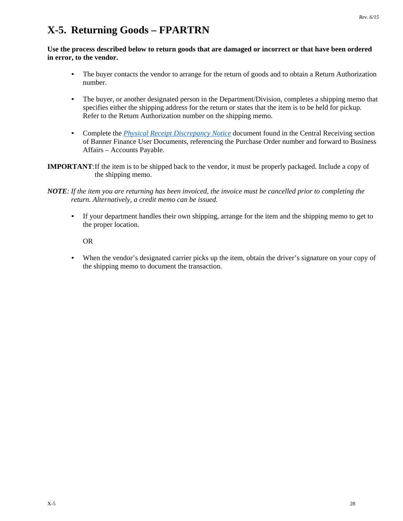## **X-5. Returning Goods – FPARTRN**

**Use the process described below to return goods that are damaged or incorrect or that have been ordered in error, to the vendor.** 

- The buyer contacts the vendor to arrange for the return of goods and to obtain a Return Authorization number.
- The buyer, or another designated person in the Department/Division, completes a shipping memo that specifies either the shipping address for the return or states that the item is to be held for pickup. Refer to the Return Authorization number on the shipping memo.
- Complete the *[Physical Receipt Discrepancy Notice](http://businessaffairs.nsula.edu/central-receiving/)* document found in the Central Receiving section of Banner Finance User Documents, referencing the Purchase Order number and forward to Business Affairs – Accounts Payable.
- **IMPORTANT**: If the item is to be shipped back to the vendor, it must be properly packaged. Include a copy of the shipping memo.

• If your department handles their own shipping, arrange for the item and the shipping memo to get to the proper location.

OR

• When the vendor's designated carrier picks up the item, obtain the driver's signature on your copy of the shipping memo to document the transaction.

*NOTE: If the item you are returning has been invoiced, the invoice must be cancelled prior to completing the return. Alternatively, a credit memo can be issued.*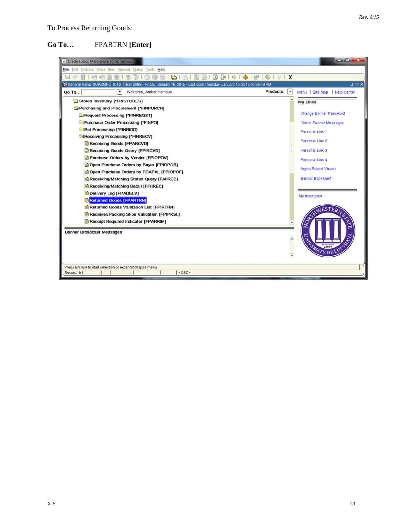### **Go To…** FPARTRN **[Enter]**

| 4. Oracle Fusion Middleware Forms Services                                                                                |                                   | $  x$                         |
|---------------------------------------------------------------------------------------------------------------------------|-----------------------------------|-------------------------------|
| File Edit Options Block Item Record Query Tools Help                                                                      |                                   |                               |
| 同め                                                                                                                        |                                   |                               |
| 15,2015 04:36:49 PM (GUAGMNU 8.4.2 (TEST2095) - Friday, January 16, 2015 - Last login Thursday, January 15, 2015 04:36:49 |                                   | ≤ ⊕ ×                         |
| ப<br>Welcome, Amber Hamous.<br><b>Go To</b>                                                                               | <b>Products:</b><br>$\vert \cdot$ | Menu   Site Map   Help Center |
| Stores Inventory [*FINSTORES]                                                                                             |                                   |                               |
| Purchasing and Procurement [*FINPURCH]                                                                                    |                                   | <b>My Links</b>               |
| <b>Request Processing [*FINREQST]</b>                                                                                     |                                   | <b>Change Banner Password</b> |
| Purchase Order Processing [*FINPO]                                                                                        |                                   |                               |
| <b>Bid Processing [*FINBIDD]</b>                                                                                          |                                   | <b>Check Banner Messages</b>  |
| Receiving Processing [*FINRECV]                                                                                           |                                   | Personal Link 1               |
| Receiving Goods [FPARCVD]                                                                                                 |                                   | <b>Personal Link 2</b>        |
| Receiving Goods Query [FPIRCVD]                                                                                           |                                   | Personal Link 3               |
| Purchase Orders by Vendor [FPIOPOV]                                                                                       |                                   |                               |
| Open Purchase Orders by Buyer [FPIOPOB]                                                                                   |                                   | <b>Personal Link 4</b>        |
| Open Purchase Orders by FOAPAL [FPIOPOF]                                                                                  |                                   | <b>Argos Report Viewer</b>    |
| Receiving/Matching Status Query [FAIREC]                                                                                  |                                   | <b>Banner Bookshelf</b>       |
| Receiving/Matching Detail [FPIIREC]                                                                                       |                                   |                               |
| Delivery Log [FPADELV]                                                                                                    |                                   |                               |
| <b>E</b> Returned Goods [FPARTRN]                                                                                         |                                   | My Institution                |
| Returned Goods Validation List [FPIRTRN]                                                                                  |                                   |                               |
| Receiver/Packing Slips Validation [FPIPKSL]                                                                               |                                   |                               |
| Receipt Required Indicator [FPARRIM]                                                                                      |                                   |                               |
| <b>Banner Broadcast Messages</b>                                                                                          | $\blacktriangle$                  | 1884                          |
| Press ENTER to start selection or expand/collapse menu.<br><0SC><br>Record: 1/1                                           |                                   |                               |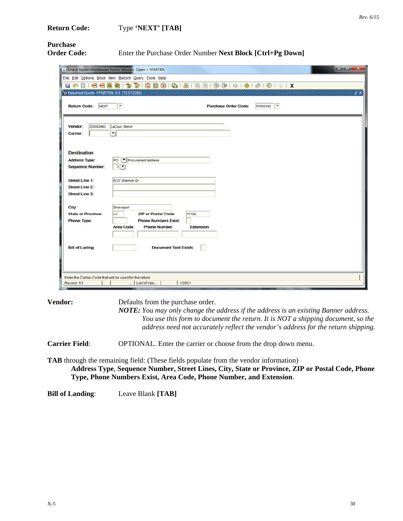# **Purchase**

**Order Code:** Enter the Purchase Order Number Next Block [Ctrl+Pg Down]

|                                                         |                                                                        |                             |          | $\begin{array}{c c}\n\hline\n\end{array}$ |
|---------------------------------------------------------|------------------------------------------------------------------------|-----------------------------|----------|-------------------------------------------|
|                                                         | <b>4</b> , Oracle Fusion Middleware Forms Services: Open > FPARTRN     |                             |          |                                           |
|                                                         | File Edit Options Block Item Record Query Tools Help                   |                             |          |                                           |
|                                                         |                                                                        |                             |          |                                           |
|                                                         |                                                                        |                             |          | mentenden den behalten 3 ×                |
| <b>Return Code:</b><br><b>NEXT</b>                      | $\sqrt{ }$                                                             | <b>Purchase Order Code:</b> | P0000150 |                                           |
|                                                         |                                                                        |                             |          |                                           |
|                                                         |                                                                        |                             |          |                                           |
| 200053963<br>Vendor:                                    | LaCour, Melvin                                                         |                             |          |                                           |
| Carrier:                                                | न।                                                                     |                             |          |                                           |
|                                                         |                                                                        |                             |          |                                           |
| <b>Destination</b>                                      |                                                                        |                             |          |                                           |
| <b>Address Type:</b>                                    | Procurement Address<br>PO                                              |                             |          |                                           |
| <b>Sequence Number:</b>                                 | $1$ $\bullet$                                                          |                             |          |                                           |
|                                                         |                                                                        |                             |          |                                           |
| <b>Street Line 1:</b>                                   | 5727 Shannon Dr                                                        |                             |          |                                           |
| <b>Street Line 2:</b>                                   |                                                                        |                             |          |                                           |
| <b>Street Line 3:</b>                                   |                                                                        |                             |          |                                           |
|                                                         |                                                                        |                             |          |                                           |
| City:                                                   | Shreveport                                                             |                             |          |                                           |
| <b>State or Province:</b>                               | <b>ZIP or Postal Code:</b><br>LA                                       | 71129                       |          |                                           |
| <b>Phone Type:</b>                                      | <b>Phone Numbers Exist:</b><br><b>Phone Number</b><br><b>Area Code</b> | <b>Extension</b>            |          |                                           |
|                                                         |                                                                        |                             |          |                                           |
|                                                         |                                                                        |                             |          |                                           |
| <b>Bill of Lading:</b>                                  | <b>Document Text Exists:</b>                                           |                             |          |                                           |
|                                                         |                                                                        |                             |          |                                           |
|                                                         |                                                                        |                             |          |                                           |
|                                                         |                                                                        |                             |          |                                           |
| Enter the Carrier Code that will be used for the return |                                                                        |                             |          |                                           |
| Record: 1/1                                             | <0SC><br>  List of Valu                                                |                             |          |                                           |
|                                                         |                                                                        |                             |          |                                           |

**Vendor:** Defaults from the purchase order.

*NOTE: You may only change the address if the address is an existing Banner address. You use this form to document the return. It is NOT a shipping document, so the address need not accurately reflect the vendor's address for the return shipping.*

**Carrier Field**: OPTIONAL. Enter the carrier or choose from the drop down menu.

**TAB** through the remaining field: (These fields populate from the vendor information)

**Address Type**, **Sequence Number, Street Lines, City, State or Province, ZIP or Postal Code, Phone Type, Phone Numbers Exist, Area Code, Phone Number, and Extension**.

**Bill of Landing**: Leave Blank **[TAB]**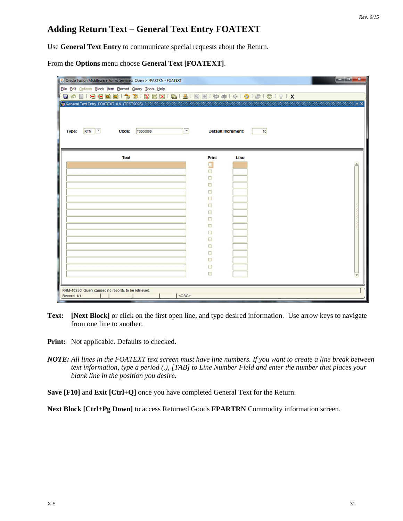### **Adding Return Text – General Text Entry FOATEXT**

Use **General Text Entry** to communicate special requests about the Return.

From the **Options** menu choose **General Text [FOATEXT]**.

| 6 Oracle Fusion Middleware Forms Services: Open > FPARTRN - FOATEXT<br>Eile Edit Options Block Item Record Query Tools Help | $-0-x$                                       |  |
|-----------------------------------------------------------------------------------------------------------------------------|----------------------------------------------|--|
| RTN <sup>T</sup><br>◚<br><b>T0000008</b><br>Type:<br>Code:                                                                  | <b>Default Increment:</b><br>10 <sub>1</sub> |  |
| Text                                                                                                                        | Print<br>Line                                |  |
|                                                                                                                             |                                              |  |
|                                                                                                                             | □                                            |  |
|                                                                                                                             | □                                            |  |
|                                                                                                                             | □                                            |  |
|                                                                                                                             | □                                            |  |
|                                                                                                                             | ο                                            |  |
|                                                                                                                             | п                                            |  |
|                                                                                                                             | ⊟                                            |  |
|                                                                                                                             | Ω                                            |  |
|                                                                                                                             | □                                            |  |
|                                                                                                                             | □<br>Π                                       |  |
|                                                                                                                             | □                                            |  |
|                                                                                                                             | □                                            |  |
|                                                                                                                             | □                                            |  |
|                                                                                                                             | ⊟                                            |  |
|                                                                                                                             | □                                            |  |
|                                                                                                                             |                                              |  |
|                                                                                                                             |                                              |  |
| FRM-40350: Query caused no records to be retrieved.<br><0SC><br>Record: 1/1<br>$\sim$                                       |                                              |  |

**Text: [Next Block]** or click on the first open line, and type desired information. Use arrow keys to navigate from one line to another.

**Print:** Not applicable. Defaults to checked.

*NOTE: All lines in the FOATEXT text screen must have line numbers. If you want to create a line break between text information, type a period (.), [TAB] to Line Number Field and enter the number that places your blank line in the position you desire.*

**Save [F10]** and **Exit [Ctrl+Q]** once you have completed General Text for the Return.

**Next Block [Ctrl+Pg Down]** to access Returned Goods **FPARTRN** Commodity information screen.